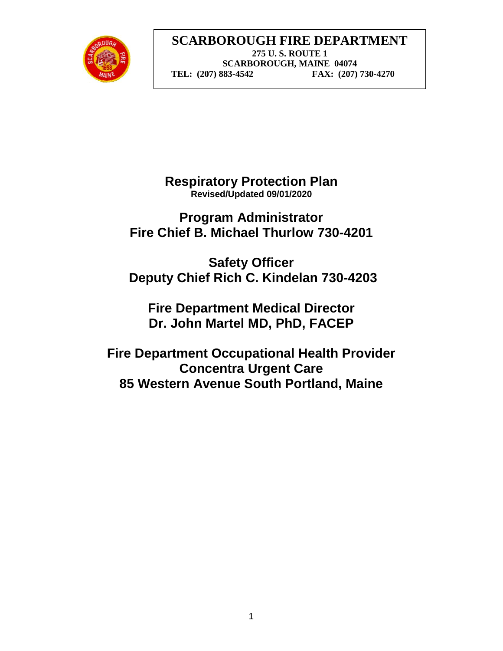

**Respiratory Protection Plan Revised/Updated 09/01/2020**

**Program Administrator Fire Chief B. Michael Thurlow 730-4201**

**Safety Officer Deputy Chief Rich C. Kindelan 730-4203**

**Fire Department Medical Director Dr. John Martel MD, PhD, FACEP**

**Fire Department Occupational Health Provider Concentra Urgent Care 85 Western Avenue South Portland, Maine**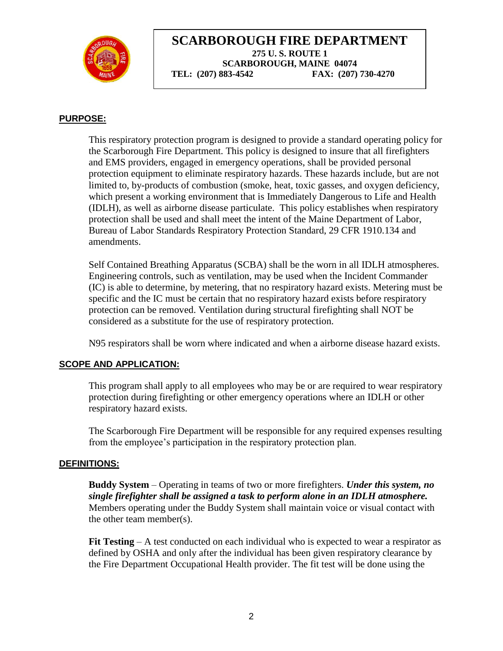

#### **PURPOSE:**

This respiratory protection program is designed to provide a standard operating policy for the Scarborough Fire Department. This policy is designed to insure that all firefighters and EMS providers, engaged in emergency operations, shall be provided personal protection equipment to eliminate respiratory hazards. These hazards include, but are not limited to, by-products of combustion (smoke, heat, toxic gasses, and oxygen deficiency, which present a working environment that is Immediately Dangerous to Life and Health (IDLH), as well as airborne disease particulate. This policy establishes when respiratory protection shall be used and shall meet the intent of the Maine Department of Labor, Bureau of Labor Standards Respiratory Protection Standard, 29 CFR 1910.134 and amendments.

Self Contained Breathing Apparatus (SCBA) shall be the worn in all IDLH atmospheres. Engineering controls, such as ventilation, may be used when the Incident Commander (IC) is able to determine, by metering, that no respiratory hazard exists. Metering must be specific and the IC must be certain that no respiratory hazard exists before respiratory protection can be removed. Ventilation during structural firefighting shall NOT be considered as a substitute for the use of respiratory protection.

N95 respirators shall be worn where indicated and when a airborne disease hazard exists.

#### **SCOPE AND APPLICATION:**

This program shall apply to all employees who may be or are required to wear respiratory protection during firefighting or other emergency operations where an IDLH or other respiratory hazard exists.

The Scarborough Fire Department will be responsible for any required expenses resulting from the employee's participation in the respiratory protection plan.

#### **DEFINITIONS:**

**Buddy System** – Operating in teams of two or more firefighters. *Under this system, no single firefighter shall be assigned a task to perform alone in an IDLH atmosphere.* Members operating under the Buddy System shall maintain voice or visual contact with the other team member(s).

**Fit Testing** – A test conducted on each individual who is expected to wear a respirator as defined by OSHA and only after the individual has been given respiratory clearance by the Fire Department Occupational Health provider. The fit test will be done using the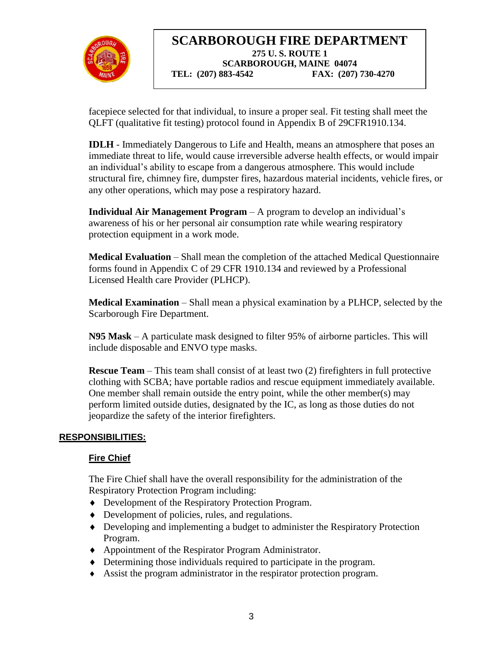

facepiece selected for that individual, to insure a proper seal. Fit testing shall meet the QLFT (qualitative fit testing) protocol found in Appendix B of 29CFR1910.134.

**IDLH** - Immediately Dangerous to Life and Health, means an atmosphere that poses an immediate threat to life, would cause irreversible adverse health effects, or would impair an individual's ability to escape from a dangerous atmosphere. This would include structural fire, chimney fire, dumpster fires, hazardous material incidents, vehicle fires, or any other operations, which may pose a respiratory hazard.

**Individual Air Management Program** – A program to develop an individual's awareness of his or her personal air consumption rate while wearing respiratory protection equipment in a work mode.

**Medical Evaluation** – Shall mean the completion of the attached Medical Questionnaire forms found in Appendix C of 29 CFR 1910.134 and reviewed by a Professional Licensed Health care Provider (PLHCP).

**Medical Examination** – Shall mean a physical examination by a PLHCP, selected by the Scarborough Fire Department.

**N95 Mask** – A particulate mask designed to filter 95% of airborne particles. This will include disposable and ENVO type masks.

**Rescue Team** – This team shall consist of at least two (2) firefighters in full protective clothing with SCBA; have portable radios and rescue equipment immediately available. One member shall remain outside the entry point, while the other member(s) may perform limited outside duties, designated by the IC, as long as those duties do not jeopardize the safety of the interior firefighters.

## **RESPONSIBILITIES:**

## **Fire Chief**

The Fire Chief shall have the overall responsibility for the administration of the Respiratory Protection Program including:

- Development of the Respiratory Protection Program.
- Development of policies, rules, and regulations.
- Developing and implementing a budget to administer the Respiratory Protection Program.
- Appointment of the Respirator Program Administrator.
- Determining those individuals required to participate in the program.
- Assist the program administrator in the respirator protection program.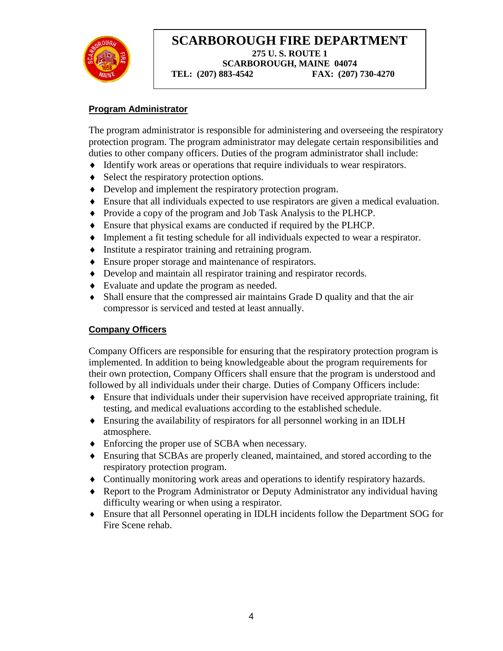

#### **Program Administrator**

The program administrator is responsible for administering and overseeing the respiratory protection program. The program administrator may delegate certain responsibilities and duties to other company officers. Duties of the program administrator shall include:

- Identify work areas or operations that require individuals to wear respirators.
- Select the respiratory protection options.
- Develop and implement the respiratory protection program.
- Ensure that all individuals expected to use respirators are given a medical evaluation.
- Provide a copy of the program and Job Task Analysis to the PLHCP.
- Ensure that physical exams are conducted if required by the PLHCP.
- Implement a fit testing schedule for all individuals expected to wear a respirator.
- Institute a respirator training and retraining program.
- Ensure proper storage and maintenance of respirators.
- Develop and maintain all respirator training and respirator records.
- Evaluate and update the program as needed.
- Shall ensure that the compressed air maintains Grade D quality and that the air compressor is serviced and tested at least annually.

#### **Company Officers**

Company Officers are responsible for ensuring that the respiratory protection program is implemented. In addition to being knowledgeable about the program requirements for their own protection, Company Officers shall ensure that the program is understood and followed by all individuals under their charge. Duties of Company Officers include:

- Ensure that individuals under their supervision have received appropriate training, fit testing, and medical evaluations according to the established schedule.
- Ensuring the availability of respirators for all personnel working in an IDLH atmosphere.
- Enforcing the proper use of SCBA when necessary.
- Ensuring that SCBAs are properly cleaned, maintained, and stored according to the respiratory protection program.
- Continually monitoring work areas and operations to identify respiratory hazards.
- Report to the Program Administrator or Deputy Administrator any individual having difficulty wearing or when using a respirator.
- Ensure that all Personnel operating in IDLH incidents follow the Department SOG for Fire Scene rehab.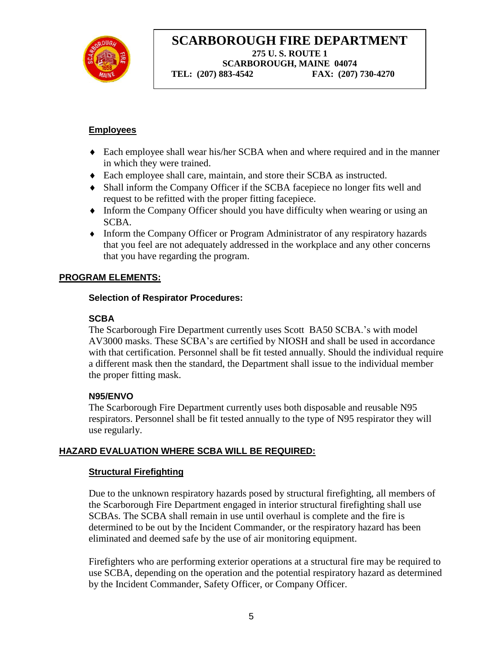

#### **Employees**

- Each employee shall wear his/her SCBA when and where required and in the manner in which they were trained.
- Each employee shall care, maintain, and store their SCBA as instructed.
- Shall inform the Company Officer if the SCBA facepiece no longer fits well and request to be refitted with the proper fitting facepiece.
- Inform the Company Officer should you have difficulty when wearing or using an SCBA.
- Inform the Company Officer or Program Administrator of any respiratory hazards that you feel are not adequately addressed in the workplace and any other concerns that you have regarding the program.

#### **PROGRAM ELEMENTS:**

#### **Selection of Respirator Procedures:**

#### **SCBA**

The Scarborough Fire Department currently uses Scott BA50 SCBA.'s with model AV3000 masks. These SCBA's are certified by NIOSH and shall be used in accordance with that certification. Personnel shall be fit tested annually. Should the individual require a different mask then the standard, the Department shall issue to the individual member the proper fitting mask.

#### **N95/ENVO**

The Scarborough Fire Department currently uses both disposable and reusable N95 respirators. Personnel shall be fit tested annually to the type of N95 respirator they will use regularly.

## **HAZARD EVALUATION WHERE SCBA WILL BE REQUIRED:**

#### **Structural Firefighting**

Due to the unknown respiratory hazards posed by structural firefighting, all members of the Scarborough Fire Department engaged in interior structural firefighting shall use SCBAs. The SCBA shall remain in use until overhaul is complete and the fire is determined to be out by the Incident Commander, or the respiratory hazard has been eliminated and deemed safe by the use of air monitoring equipment.

Firefighters who are performing exterior operations at a structural fire may be required to use SCBA, depending on the operation and the potential respiratory hazard as determined by the Incident Commander, Safety Officer, or Company Officer.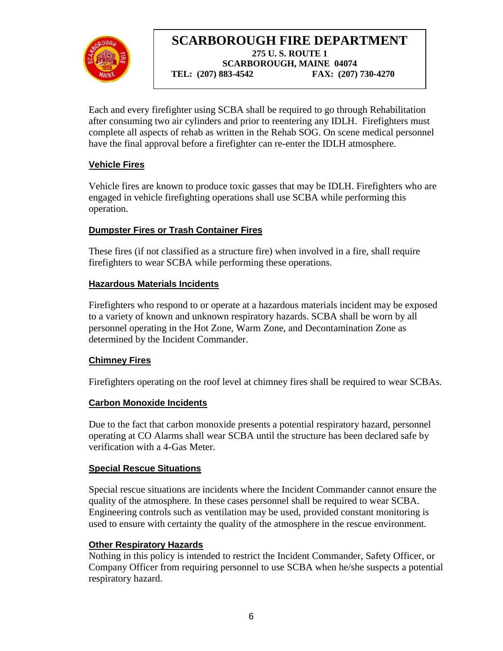

Each and every firefighter using SCBA shall be required to go through Rehabilitation after consuming two air cylinders and prior to reentering any IDLH. Firefighters must complete all aspects of rehab as written in the Rehab SOG. On scene medical personnel have the final approval before a firefighter can re-enter the IDLH atmosphere.

## **Vehicle Fires**

Vehicle fires are known to produce toxic gasses that may be IDLH. Firefighters who are engaged in vehicle firefighting operations shall use SCBA while performing this operation.

## **Dumpster Fires or Trash Container Fires**

These fires (if not classified as a structure fire) when involved in a fire, shall require firefighters to wear SCBA while performing these operations.

## **Hazardous Materials Incidents**

Firefighters who respond to or operate at a hazardous materials incident may be exposed to a variety of known and unknown respiratory hazards. SCBA shall be worn by all personnel operating in the Hot Zone, Warm Zone, and Decontamination Zone as determined by the Incident Commander.

## **Chimney Fires**

Firefighters operating on the roof level at chimney fires shall be required to wear SCBAs.

## **Carbon Monoxide Incidents**

Due to the fact that carbon monoxide presents a potential respiratory hazard, personnel operating at CO Alarms shall wear SCBA until the structure has been declared safe by verification with a 4-Gas Meter.

## **Special Rescue Situations**

Special rescue situations are incidents where the Incident Commander cannot ensure the quality of the atmosphere. In these cases personnel shall be required to wear SCBA. Engineering controls such as ventilation may be used, provided constant monitoring is used to ensure with certainty the quality of the atmosphere in the rescue environment.

## **Other Respiratory Hazards**

Nothing in this policy is intended to restrict the Incident Commander, Safety Officer, or Company Officer from requiring personnel to use SCBA when he/she suspects a potential respiratory hazard.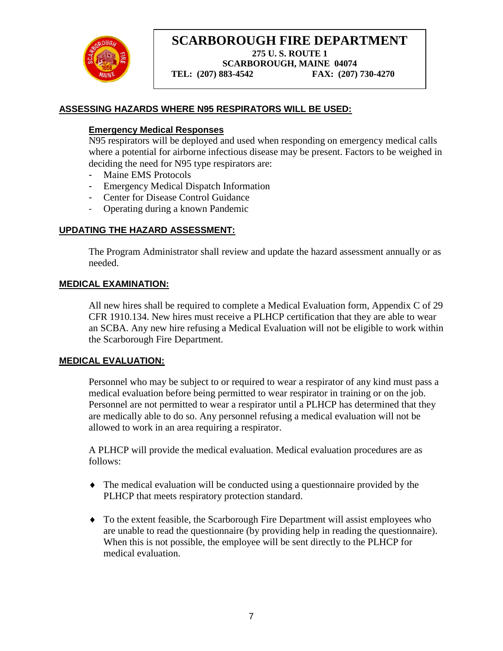

**SCARBOROUGH FIRE DEPARTMENT 275 U. S. ROUTE 1**

**SCARBOROUGH, MAINE 04074**

 **TEL: (207) 883-4542 FAX: (207) 730-4270**

#### **ASSESSING HAZARDS WHERE N95 RESPIRATORS WILL BE USED:**

#### **Emergency Medical Responses**

N95 respirators will be deployed and used when responding on emergency medical calls where a potential for airborne infectious disease may be present. Factors to be weighed in deciding the need for N95 type respirators are:

- Maine EMS Protocols
- Emergency Medical Dispatch Information
- Center for Disease Control Guidance
- Operating during a known Pandemic

#### **UPDATING THE HAZARD ASSESSMENT:**

The Program Administrator shall review and update the hazard assessment annually or as needed.

#### **MEDICAL EXAMINATION:**

All new hires shall be required to complete a Medical Evaluation form, Appendix C of 29 CFR 1910.134. New hires must receive a PLHCP certification that they are able to wear an SCBA. Any new hire refusing a Medical Evaluation will not be eligible to work within the Scarborough Fire Department.

#### **MEDICAL EVALUATION:**

Personnel who may be subject to or required to wear a respirator of any kind must pass a medical evaluation before being permitted to wear respirator in training or on the job. Personnel are not permitted to wear a respirator until a PLHCP has determined that they are medically able to do so. Any personnel refusing a medical evaluation will not be allowed to work in an area requiring a respirator.

A PLHCP will provide the medical evaluation. Medical evaluation procedures are as follows:

- The medical evaluation will be conducted using a questionnaire provided by the PLHCP that meets respiratory protection standard.
- To the extent feasible, the Scarborough Fire Department will assist employees who are unable to read the questionnaire (by providing help in reading the questionnaire). When this is not possible, the employee will be sent directly to the PLHCP for medical evaluation.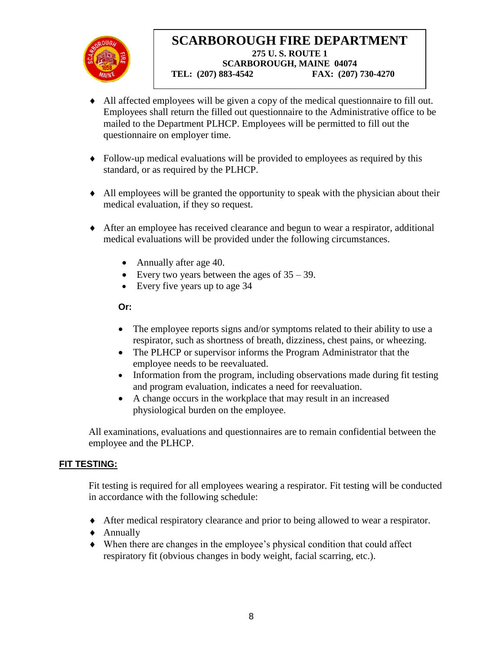

- All affected employees will be given a copy of the medical questionnaire to fill out. Employees shall return the filled out questionnaire to the Administrative office to be mailed to the Department PLHCP. Employees will be permitted to fill out the questionnaire on employer time.
- Follow-up medical evaluations will be provided to employees as required by this standard, or as required by the PLHCP.
- All employees will be granted the opportunity to speak with the physician about their medical evaluation, if they so request.
- After an employee has received clearance and begun to wear a respirator, additional medical evaluations will be provided under the following circumstances.
	- Annually after age 40.
	- Every two years between the ages of  $35 39$ .
	- Every five years up to age 34

**Or:**

- The employee reports signs and/or symptoms related to their ability to use a respirator, such as shortness of breath, dizziness, chest pains, or wheezing.
- The PLHCP or supervisor informs the Program Administrator that the employee needs to be reevaluated.
- Information from the program, including observations made during fit testing and program evaluation, indicates a need for reevaluation.
- A change occurs in the workplace that may result in an increased physiological burden on the employee.

All examinations, evaluations and questionnaires are to remain confidential between the employee and the PLHCP.

#### **FIT TESTING:**

Fit testing is required for all employees wearing a respirator. Fit testing will be conducted in accordance with the following schedule:

- After medical respiratory clearance and prior to being allowed to wear a respirator.
- Annually
- When there are changes in the employee's physical condition that could affect respiratory fit (obvious changes in body weight, facial scarring, etc.).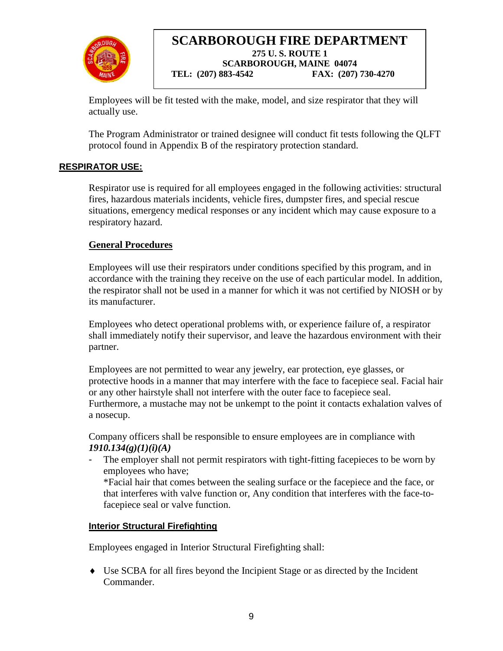

Employees will be fit tested with the make, model, and size respirator that they will actually use.

The Program Administrator or trained designee will conduct fit tests following the QLFT protocol found in Appendix B of the respiratory protection standard.

## **RESPIRATOR USE:**

Respirator use is required for all employees engaged in the following activities: structural fires, hazardous materials incidents, vehicle fires, dumpster fires, and special rescue situations, emergency medical responses or any incident which may cause exposure to a respiratory hazard.

## **General Procedures**

Employees will use their respirators under conditions specified by this program, and in accordance with the training they receive on the use of each particular model. In addition, the respirator shall not be used in a manner for which it was not certified by NIOSH or by its manufacturer.

Employees who detect operational problems with, or experience failure of, a respirator shall immediately notify their supervisor, and leave the hazardous environment with their partner.

Employees are not permitted to wear any jewelry, ear protection, eye glasses, or protective hoods in a manner that may interfere with the face to facepiece seal. Facial hair or any other hairstyle shall not interfere with the outer face to facepiece seal. Furthermore, a mustache may not be unkempt to the point it contacts exhalation valves of a nosecup.

Company officers shall be responsible to ensure employees are in compliance with *1910.134(g)(1)(i)(A)*

The employer shall not permit respirators with tight-fitting facepieces to be worn by employees who have;

\*Facial hair that comes between the sealing surface or the facepiece and the face, or that interferes with valve function or, Any condition that interferes with the face-tofacepiece seal or valve function.

#### **Interior Structural Firefighting**

Employees engaged in Interior Structural Firefighting shall:

 Use SCBA for all fires beyond the Incipient Stage or as directed by the Incident Commander.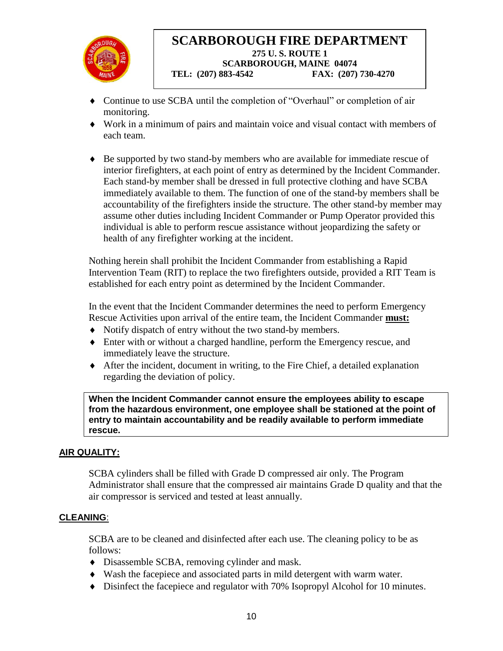

- Continue to use SCBA until the completion of "Overhaul" or completion of air monitoring.
- Work in a minimum of pairs and maintain voice and visual contact with members of each team.
- Be supported by two stand-by members who are available for immediate rescue of interior firefighters, at each point of entry as determined by the Incident Commander. Each stand-by member shall be dressed in full protective clothing and have SCBA immediately available to them. The function of one of the stand-by members shall be accountability of the firefighters inside the structure. The other stand-by member may assume other duties including Incident Commander or Pump Operator provided this individual is able to perform rescue assistance without jeopardizing the safety or health of any firefighter working at the incident.

Nothing herein shall prohibit the Incident Commander from establishing a Rapid Intervention Team (RIT) to replace the two firefighters outside, provided a RIT Team is established for each entry point as determined by the Incident Commander.

In the event that the Incident Commander determines the need to perform Emergency Rescue Activities upon arrival of the entire team, the Incident Commander **must:**

- Notify dispatch of entry without the two stand-by members.
- Enter with or without a charged handline, perform the Emergency rescue, and immediately leave the structure.
- After the incident, document in writing, to the Fire Chief, a detailed explanation regarding the deviation of policy.

**When the Incident Commander cannot ensure the employees ability to escape from the hazardous environment, one employee shall be stationed at the point of entry to maintain accountability and be readily available to perform immediate rescue.**

## **AIR QUALITY:**

SCBA cylinders shall be filled with Grade D compressed air only. The Program Administrator shall ensure that the compressed air maintains Grade D quality and that the air compressor is serviced and tested at least annually.

#### **CLEANING**:

SCBA are to be cleaned and disinfected after each use. The cleaning policy to be as follows:

- Disassemble SCBA, removing cylinder and mask.
- Wash the facepiece and associated parts in mild detergent with warm water.
- Disinfect the facepiece and regulator with 70% Isopropyl Alcohol for 10 minutes.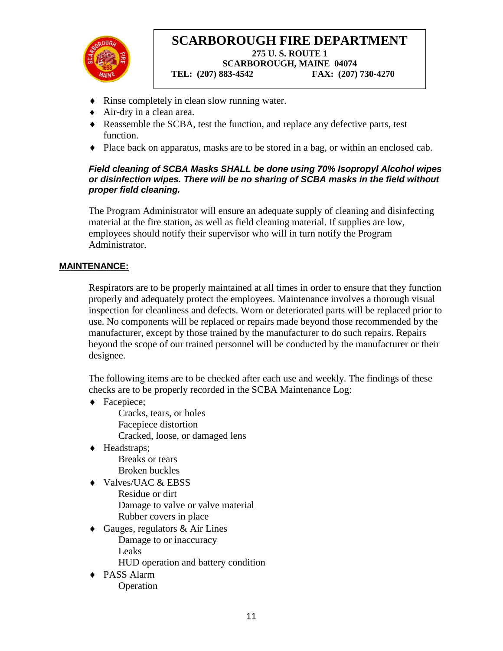

- Rinse completely in clean slow running water.
- Air-dry in a clean area.
- Reassemble the SCBA, test the function, and replace any defective parts, test function.
- Place back on apparatus, masks are to be stored in a bag, or within an enclosed cab.

#### *Field cleaning of SCBA Masks SHALL be done using 70% Isopropyl Alcohol wipes or disinfection wipes. There will be no sharing of SCBA masks in the field without proper field cleaning.*

The Program Administrator will ensure an adequate supply of cleaning and disinfecting material at the fire station, as well as field cleaning material. If supplies are low, employees should notify their supervisor who will in turn notify the Program Administrator.

#### **MAINTENANCE:**

Respirators are to be properly maintained at all times in order to ensure that they function properly and adequately protect the employees. Maintenance involves a thorough visual inspection for cleanliness and defects. Worn or deteriorated parts will be replaced prior to use. No components will be replaced or repairs made beyond those recommended by the manufacturer, except by those trained by the manufacturer to do such repairs. Repairs beyond the scope of our trained personnel will be conducted by the manufacturer or their designee.

The following items are to be checked after each use and weekly. The findings of these checks are to be properly recorded in the SCBA Maintenance Log:

- ◆ Facepiece; Cracks, tears, or holes Facepiece distortion Cracked, loose, or damaged lens
- ◆ Headstraps; Breaks or tears Broken buckles
- ◆ Valves/UAC & EBSS Residue or dirt Damage to valve or valve material Rubber covers in place
- $\triangleleft$  Gauges, regulators & Air Lines Damage to or inaccuracy Leaks

HUD operation and battery condition

◆ PASS Alarm Operation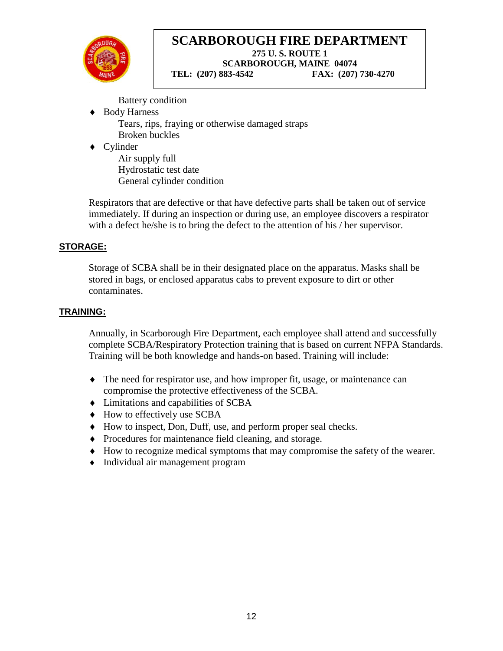

Battery condition

- Body Harness Tears, rips, fraying or otherwise damaged straps Broken buckles
- ◆ Cylinder

Air supply full Hydrostatic test date General cylinder condition

Respirators that are defective or that have defective parts shall be taken out of service immediately. If during an inspection or during use, an employee discovers a respirator with a defect he/she is to bring the defect to the attention of his / her supervisor.

## **STORAGE:**

Storage of SCBA shall be in their designated place on the apparatus. Masks shall be stored in bags, or enclosed apparatus cabs to prevent exposure to dirt or other contaminates.

## **TRAINING:**

Annually, in Scarborough Fire Department, each employee shall attend and successfully complete SCBA/Respiratory Protection training that is based on current NFPA Standards. Training will be both knowledge and hands-on based. Training will include:

- The need for respirator use, and how improper fit, usage, or maintenance can compromise the protective effectiveness of the SCBA.
- $\bullet$  Limitations and capabilities of SCBA
- $\triangleleft$  How to effectively use SCBA
- How to inspect, Don, Duff, use, and perform proper seal checks.
- Procedures for maintenance field cleaning, and storage.
- How to recognize medical symptoms that may compromise the safety of the wearer.
- Individual air management program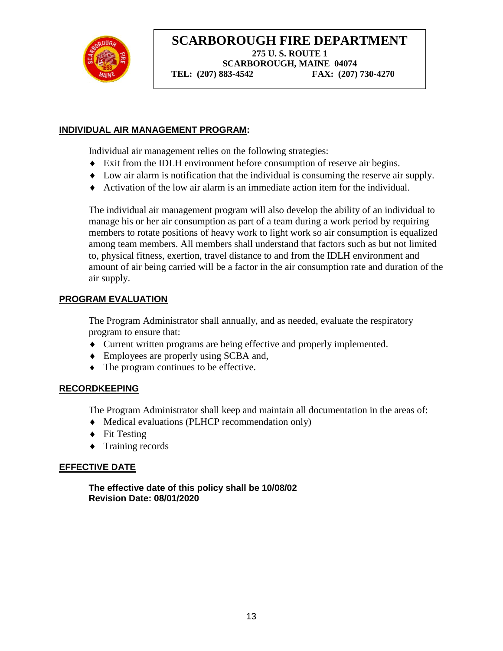

#### **INDIVIDUAL AIR MANAGEMENT PROGRAM:**

Individual air management relies on the following strategies:

- Exit from the IDLH environment before consumption of reserve air begins.
- Low air alarm is notification that the individual is consuming the reserve air supply.
- Activation of the low air alarm is an immediate action item for the individual.

The individual air management program will also develop the ability of an individual to manage his or her air consumption as part of a team during a work period by requiring members to rotate positions of heavy work to light work so air consumption is equalized among team members. All members shall understand that factors such as but not limited to, physical fitness, exertion, travel distance to and from the IDLH environment and amount of air being carried will be a factor in the air consumption rate and duration of the air supply.

#### **PROGRAM EVALUATION**

The Program Administrator shall annually, and as needed, evaluate the respiratory program to ensure that:

- Current written programs are being effective and properly implemented.
- Employees are properly using SCBA and,
- The program continues to be effective.

#### **RECORDKEEPING**

The Program Administrator shall keep and maintain all documentation in the areas of:

- Medical evaluations (PLHCP recommendation only)
- $\blacklozenge$  Fit Testing
- $\bullet$  Training records

#### **EFFECTIVE DATE**

**The effective date of this policy shall be 10/08/02 Revision Date: 08/01/2020**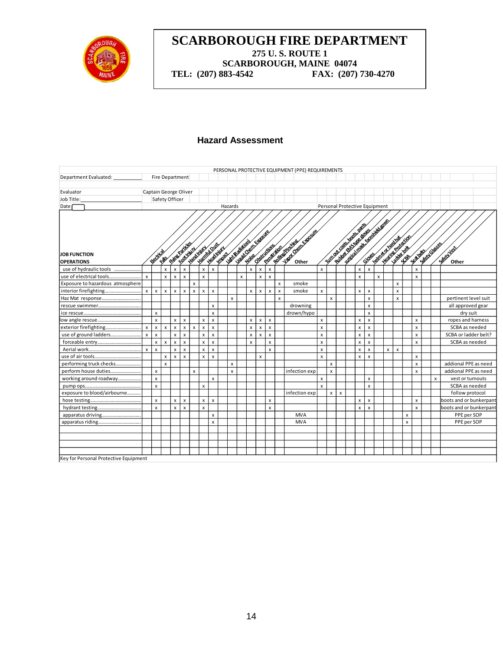

**TEL:** (207) 883-4542

#### **Hazard Assessment**

| PERSONAL PROTECTIVE EQUIPMENT (PPE) REQUIREMENTS |                           |                           |                       |                    |                           |                    |                           |                           |                          |                           |                                  |                    |                    |                |                           |                                                 |                               |                    |                                                         |  |                    |                                   |   |   |                                                       |                           |                           |                 |                    |                         |
|--------------------------------------------------|---------------------------|---------------------------|-----------------------|--------------------|---------------------------|--------------------|---------------------------|---------------------------|--------------------------|---------------------------|----------------------------------|--------------------|--------------------|----------------|---------------------------|-------------------------------------------------|-------------------------------|--------------------|---------------------------------------------------------|--|--------------------|-----------------------------------|---|---|-------------------------------------------------------|---------------------------|---------------------------|-----------------|--------------------|-------------------------|
| Department Evaluated:                            |                           |                           | Fire Department       |                    |                           |                    |                           |                           |                          |                           |                                  |                    |                    |                |                           |                                                 |                               |                    |                                                         |  |                    |                                   |   |   |                                                       |                           |                           |                 |                    |                         |
| Evaluator                                        |                           |                           | Captain George Oliver |                    |                           |                    |                           |                           |                          |                           |                                  |                    |                    |                |                           |                                                 |                               |                    |                                                         |  |                    |                                   |   |   |                                                       |                           |                           |                 |                    |                         |
| Job Title:                                       |                           |                           | Safety Officer        |                    |                           |                    |                           |                           |                          |                           |                                  |                    |                    |                |                           |                                                 |                               |                    |                                                         |  |                    |                                   |   |   |                                                       |                           |                           |                 |                    |                         |
| Date                                             |                           |                           |                       |                    |                           |                    |                           |                           |                          | Hazards                   |                                  |                    |                    |                |                           |                                                 | Personal Protective Equipment |                    |                                                         |  |                    |                                   |   |   |                                                       |                           |                           |                 |                    |                         |
|                                                  |                           |                           |                       |                    | <b>Shire Pardes</b>       |                    | <b>Harristone</b>         |                           |                          |                           | Law Commercial<br>Luite Barricon |                    |                    | Obstructions   |                           | Lister Chemicagoste<br><b>Rolling Direction</b> |                               |                    | <b>Neroda Basic Materials</b><br>Point of the tree work |  |                    | Suite of Division of the Assembly |   |   | - Health Projection<br><b>Helper of original hast</b> |                           |                           |                 | <b>Alexandra</b> s |                         |
| <b>JOB FUNCTION</b>                              |                           |                           |                       |                    |                           |                    |                           |                           |                          |                           |                                  |                    |                    |                |                           |                                                 |                               |                    |                                                         |  |                    |                                   |   |   |                                                       |                           |                           |                 |                    |                         |
| <b>OPERATIONS</b>                                |                           | <b>Decircal</b>           | FOREST                |                    |                           | Kontinin           | Hardwin                   |                           | Heathing<br><b>Knock</b> |                           |                                  |                    |                    | Penatricion    |                           |                                                 |                               |                    |                                                         |  |                    |                                   |   |   |                                                       | 500                       |                           | <b>SEATIONS</b> |                    | <b>SASEWAS</b><br>Other |
| use of hydraulic tools                           |                           |                           | $\pmb{\times}$        | $\pmb{\mathsf{x}}$ | $\pmb{\times}$            |                    | $\pmb{\mathsf{x}}$        | $\pmb{\times}$            |                          |                           |                                  | $\pmb{\mathsf{x}}$ | $\pmb{\mathsf{x}}$ | $\pmb{\times}$ |                           |                                                 | x                             |                    |                                                         |  | $\pmb{\mathsf{x}}$ | $\pmb{\chi}$                      |   |   |                                                       |                           | $\pmb{\mathsf{x}}$        |                 |                    |                         |
| use of electrical tools                          | $\mathsf{x}$              |                           | $\pmb{\mathsf{x}}$    | $\pmb{\times}$     | $\boldsymbol{\mathsf{x}}$ |                    | $\pmb{\times}$            |                           |                          |                           | $\pmb{\times}$                   |                    | $\pmb{\times}$     | X              |                           |                                                 |                               |                    |                                                         |  | x                  |                                   | x |   |                                                       |                           | $\boldsymbol{\mathsf{x}}$ |                 |                    |                         |
| Exposure to hazardous atmosphere                 |                           |                           |                       |                    |                           | X                  |                           |                           |                          |                           |                                  |                    |                    |                | X                         | smoke                                           |                               |                    |                                                         |  |                    |                                   |   |   | x                                                     |                           |                           |                 |                    |                         |
|                                                  | $\mathsf{x}$              | $\mathbf{x}$              | $\pmb{\chi}$          | $\pmb{\chi}$       | $\mathsf{x}$              | $\pmb{\mathsf{x}}$ | $\boldsymbol{\mathsf{x}}$ | $\mathsf{x}$              |                          |                           |                                  | $\mathsf{x}$       | $\pmb{\times}$     | $\pmb{\times}$ | $\boldsymbol{\mathsf{x}}$ | smoke                                           | x                             |                    |                                                         |  | $\mathsf{x}$       | $\pmb{\times}$                    |   |   | $\boldsymbol{\mathsf{x}}$                             |                           |                           |                 |                    |                         |
| Haz Mat response                                 |                           |                           |                       |                    |                           |                    |                           |                           |                          | X                         |                                  |                    |                    |                | $\boldsymbol{\mathsf{x}}$ |                                                 |                               | $\mathsf{x}$       |                                                         |  |                    | $\pmb{\times}$                    |   |   | $\pmb{\times}$                                        |                           |                           |                 |                    | pertinent level suit    |
| rescue swimmer                                   |                           |                           |                       |                    |                           |                    |                           | X                         |                          |                           |                                  |                    |                    |                |                           | drowning                                        |                               |                    |                                                         |  |                    | $\boldsymbol{x}$                  |   |   |                                                       |                           |                           |                 |                    | all approved gear       |
|                                                  |                           | $\pmb{\times}$            |                       |                    |                           |                    |                           | $\mathsf{x}$              |                          |                           |                                  |                    |                    |                |                           | drown/hypo                                      |                               |                    |                                                         |  |                    | $\mathsf{x}$                      |   |   |                                                       |                           |                           |                 |                    | dry suit                |
|                                                  |                           | x                         |                       | x                  | x                         |                    | $\pmb{\chi}$              | $\boldsymbol{x}$          |                          |                           |                                  | x                  | x                  | x              |                           |                                                 | x                             |                    |                                                         |  | X                  | $\pmb{\mathsf{x}}$                |   |   |                                                       |                           | x                         |                 |                    | ropes and harness       |
| exterior firefighting                            | $\boldsymbol{\mathsf{x}}$ | X                         | $\pmb{\times}$        | x                  | X                         | x                  | $\pmb{\times}$            | x                         |                          |                           |                                  | x                  | x                  | x              |                           |                                                 | x                             |                    |                                                         |  | $\pmb{\times}$     | x                                 |   |   |                                                       |                           | x                         |                 |                    | SCBA as needed          |
|                                                  | $\boldsymbol{\mathsf{x}}$ | $\boldsymbol{\mathsf{x}}$ |                       | $\mathsf{x}$       | $\boldsymbol{\mathsf{x}}$ |                    | $\pmb{\times}$            | X                         |                          |                           |                                  | x                  | $\mathsf{x}$       | $\mathsf{x}$   |                           |                                                 | $\mathsf{x}$                  |                    |                                                         |  | x                  | $\boldsymbol{\mathsf{x}}$         |   |   |                                                       |                           | x                         |                 |                    | SCBA or ladder belt?    |
|                                                  |                           | $\pmb{\times}$            | $\pmb{\chi}$          | $\pmb{\times}$     | x                         |                    | $\pmb{\times}$            | $\mathsf{x}$              |                          |                           |                                  | X                  |                    | x              |                           |                                                 | x                             |                    |                                                         |  | $\pmb{\times}$     | $\pmb{\mathsf{x}}$                |   |   |                                                       |                           | x                         |                 |                    | SCBA as needed          |
|                                                  | $\pmb{\times}$            | $\boldsymbol{\mathsf{x}}$ |                       | x                  | x                         |                    | $\pmb{\times}$            | $\pmb{\times}$            |                          |                           |                                  |                    |                    | X              |                           |                                                 | x                             |                    |                                                         |  | x                  | $\pmb{\times}$                    |   | x | $\pmb{\chi}$                                          |                           |                           |                 |                    |                         |
|                                                  |                           |                           | x                     | X                  | $\mathbf{x}$              |                    | $\pmb{\times}$            | $\boldsymbol{\mathsf{x}}$ |                          |                           |                                  |                    | X                  |                |                           |                                                 | x                             |                    |                                                         |  | x                  | $\pmb{\times}$                    |   |   |                                                       |                           | x                         |                 |                    |                         |
| performing truck checks                          |                           |                           | x                     |                    |                           |                    |                           |                           |                          | $\boldsymbol{\mathsf{x}}$ |                                  |                    |                    |                |                           |                                                 |                               | $\pmb{\times}$     |                                                         |  |                    |                                   |   |   |                                                       |                           | x                         |                 |                    | addional PPE as need    |
| perform house duties                             |                           | $\boldsymbol{\mathsf{x}}$ |                       |                    |                           | x                  |                           |                           |                          | $\boldsymbol{\mathsf{x}}$ |                                  |                    |                    |                |                           | infection exp                                   |                               | $\mathsf{x}$       |                                                         |  |                    |                                   |   |   |                                                       |                           | $\boldsymbol{\mathsf{x}}$ |                 |                    | addional PPE as need    |
| working around roadway                           |                           | $\pmb{\times}$            |                       |                    |                           |                    |                           | X                         |                          |                           |                                  |                    |                    |                |                           |                                                 | x                             |                    |                                                         |  |                    | x                                 |   |   |                                                       |                           |                           |                 | x                  | vest or turnouts        |
|                                                  |                           | $\pmb{\mathsf{x}}$        |                       |                    |                           |                    | $\pmb{\times}$            |                           |                          |                           |                                  |                    |                    |                |                           |                                                 | $\mathsf{x}$                  |                    |                                                         |  |                    | $\mathsf{x}$                      |   |   |                                                       |                           |                           |                 |                    | SCBA as needed          |
| exposure to blood/airbourne                      |                           |                           |                       |                    |                           |                    |                           |                           |                          |                           |                                  |                    |                    |                |                           | infection exp                                   |                               | $\pmb{\mathsf{x}}$ | $\boldsymbol{\mathsf{x}}$                               |  |                    |                                   |   |   |                                                       |                           |                           |                 |                    | follow protocol         |
|                                                  |                           | x                         |                       | x                  | x                         |                    | $\pmb{\chi}$              | $\mathsf{x}$              |                          |                           |                                  |                    |                    | x              |                           |                                                 |                               |                    |                                                         |  | x                  | $\mathsf{x}$                      |   |   |                                                       |                           | $\boldsymbol{\mathsf{x}}$ |                 |                    | boots and or bunkerpant |
|                                                  |                           | X                         |                       | x                  | $\boldsymbol{\mathsf{x}}$ |                    | $\pmb{\times}$            |                           |                          |                           |                                  |                    |                    | X              |                           |                                                 |                               |                    |                                                         |  | x                  | $\mathsf{x}$                      |   |   |                                                       |                           | $\boldsymbol{\mathsf{x}}$ |                 |                    | boots and or bunkerpant |
| apparatus driving                                |                           |                           |                       |                    |                           |                    |                           | x                         |                          |                           |                                  |                    |                    |                |                           | <b>MVA</b>                                      |                               |                    |                                                         |  |                    |                                   |   |   |                                                       | x                         |                           |                 |                    | PPE per SOP             |
|                                                  |                           |                           |                       |                    |                           |                    |                           | X                         |                          |                           |                                  |                    |                    |                |                           | <b>MVA</b>                                      |                               |                    |                                                         |  |                    |                                   |   |   |                                                       | $\boldsymbol{\mathsf{x}}$ |                           |                 |                    | PPE per SOP             |
|                                                  |                           |                           |                       |                    |                           |                    |                           |                           |                          |                           |                                  |                    |                    |                |                           |                                                 |                               |                    |                                                         |  |                    |                                   |   |   |                                                       |                           |                           |                 |                    |                         |
|                                                  |                           |                           |                       |                    |                           |                    |                           |                           |                          |                           |                                  |                    |                    |                |                           |                                                 |                               |                    |                                                         |  |                    |                                   |   |   |                                                       |                           |                           |                 |                    |                         |
|                                                  |                           |                           |                       |                    |                           |                    |                           |                           |                          |                           |                                  |                    |                    |                |                           |                                                 |                               |                    |                                                         |  |                    |                                   |   |   |                                                       |                           |                           |                 |                    |                         |
|                                                  |                           |                           |                       |                    |                           |                    |                           |                           |                          |                           |                                  |                    |                    |                |                           |                                                 |                               |                    |                                                         |  |                    |                                   |   |   |                                                       |                           |                           |                 |                    |                         |
| Key for Personal Protective Equipment            |                           |                           |                       |                    |                           |                    |                           |                           |                          |                           |                                  |                    |                    |                |                           |                                                 |                               |                    |                                                         |  |                    |                                   |   |   |                                                       |                           |                           |                 |                    |                         |